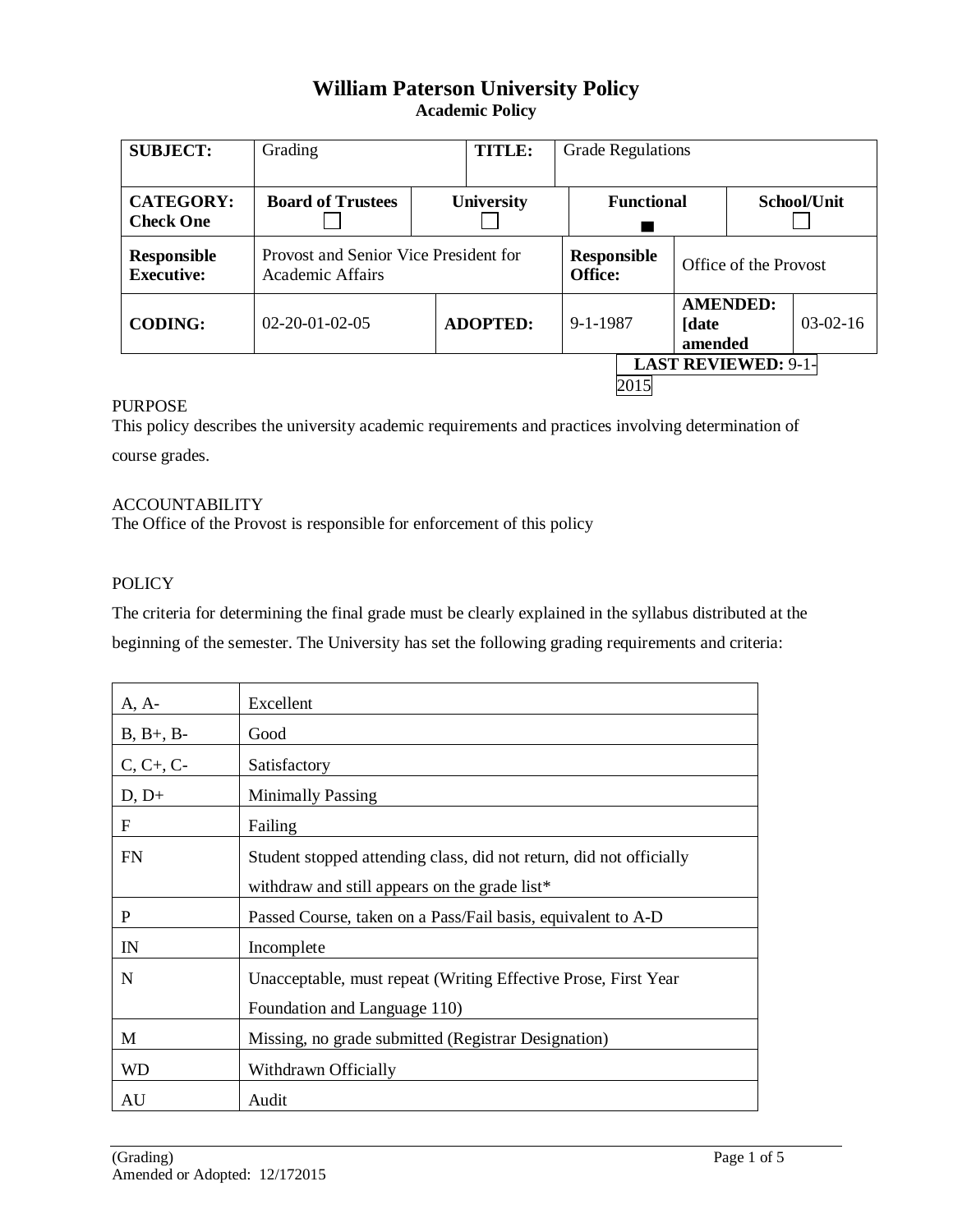# **William Paterson University Policy Academic Policy**

| <b>SUBJECT:</b>                         | Grading                                                   | <b>TITLE:</b>     | <b>Grade Regulations</b>      |                   |                            |             |
|-----------------------------------------|-----------------------------------------------------------|-------------------|-------------------------------|-------------------|----------------------------|-------------|
| <b>CATEGORY:</b><br><b>Check One</b>    | <b>Board of Trustees</b>                                  | <b>University</b> | <b>Functional</b>             |                   |                            | School/Unit |
| <b>Responsible</b><br><b>Executive:</b> | Provost and Senior Vice President for<br>Academic Affairs |                   | <b>Responsible</b><br>Office: |                   | Office of the Provost      |             |
| <b>CODING:</b>                          | $02 - 20 - 01 - 02 - 05$                                  | <b>ADOPTED:</b>   | $9 - 1 - 1987$                | [date]<br>amended | <b>AMENDED:</b>            | $03-02-16$  |
|                                         |                                                           |                   | 2015                          |                   | <b>LAST REVIEWED: 9-1-</b> |             |

### PURPOSE

This policy describes the university academic requirements and practices involving determination of course grades.

#### ACCOUNTABILITY

The Office of the Provost is responsible for enforcement of this policy

## POLICY

The criteria for determining the final grade must be clearly explained in the syllabus distributed at the beginning of the semester. The University has set the following grading requirements and criteria:

| $A, A-$     | Excellent                                                           |  |  |  |
|-------------|---------------------------------------------------------------------|--|--|--|
| $B, B+, B-$ | Good                                                                |  |  |  |
| $C, C+, C-$ | Satisfactory                                                        |  |  |  |
| $D, D+$     | <b>Minimally Passing</b>                                            |  |  |  |
| $\mathbf F$ | Failing                                                             |  |  |  |
| <b>FN</b>   | Student stopped attending class, did not return, did not officially |  |  |  |
|             | withdraw and still appears on the grade list*                       |  |  |  |
| P           | Passed Course, taken on a Pass/Fail basis, equivalent to A-D        |  |  |  |
| IN          | Incomplete                                                          |  |  |  |
| $\mathbf N$ | Unacceptable, must repeat (Writing Effective Prose, First Year      |  |  |  |
|             | Foundation and Language 110)                                        |  |  |  |
| M           | Missing, no grade submitted (Registrar Designation)                 |  |  |  |
| <b>WD</b>   | Withdrawn Officially                                                |  |  |  |
| AU          | Audit                                                               |  |  |  |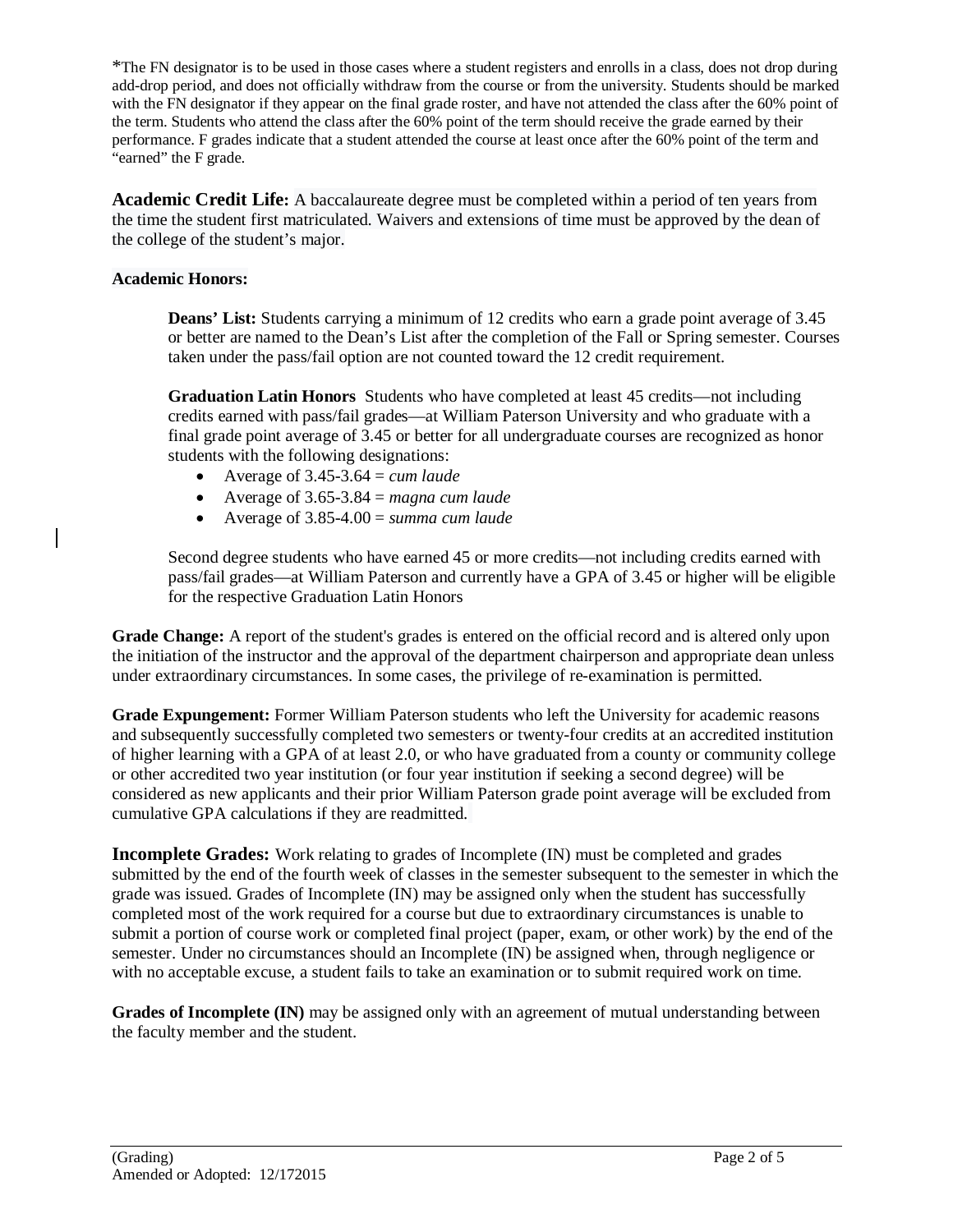\*The FN designator is to be used in those cases where a student registers and enrolls in a class, does not drop during add-drop period, and does not officially withdraw from the course or from the university. Students should be marked with the FN designator if they appear on the final grade roster, and have not attended the class after the 60% point of the term. Students who attend the class after the 60% point of the term should receive the grade earned by their performance. F grades indicate that a student attended the course at least once after the 60% point of the term and "earned" the F grade.

**Academic Credit Life:** A baccalaureate degree must be completed within a period of ten years from the time the student first matriculated. Waivers and extensions of time must be approved by the dean of the college of the student's major.

### **Academic Honors:**

**Deans' List:** Students carrying a minimum of 12 credits who earn a grade point average of 3.45 or better are named to the Dean's List after the completion of the Fall or Spring semester. Courses taken under the pass/fail option are not counted toward the 12 credit requirement.

**Graduation Latin Honors** Students who have completed at least 45 credits—not including credits earned with pass/fail grades—at William Paterson University and who graduate with a final grade point average of 3.45 or better for all undergraduate courses are recognized as honor students with the following designations:

- Average of  $3.45 3.64 =$  *cum laude*
- Average of  $3.65 3.84$  = *magna cum laude*
- Average of 3.85-4.00 = *summa cum laude*

Second degree students who have earned 45 or more credits—not including credits earned with pass/fail grades—at William Paterson and currently have a GPA of 3.45 or higher will be eligible for the respective Graduation Latin Honors

**Grade Change:** A report of the student's grades is entered on the official record and is altered only upon the initiation of the instructor and the approval of the department chairperson and appropriate dean unless under extraordinary circumstances. In some cases, the privilege of re-examination is permitted.

**Grade Expungement:** Former William Paterson students who left the University for academic reasons and subsequently successfully completed two semesters or twenty-four credits at an accredited institution of higher learning with a GPA of at least 2.0, or who have graduated from a county or community college or other accredited two year institution (or four year institution if seeking a second degree) will be considered as new applicants and their prior William Paterson grade point average will be excluded from cumulative GPA calculations if they are readmitted.

**Incomplete Grades:** Work relating to grades of Incomplete (IN) must be completed and grades submitted by the end of the fourth week of classes in the semester subsequent to the semester in which the grade was issued. Grades of Incomplete (IN) may be assigned only when the student has successfully completed most of the work required for a course but due to extraordinary circumstances is unable to submit a portion of course work or completed final project (paper, exam, or other work) by the end of the semester. Under no circumstances should an Incomplete (IN) be assigned when, through negligence or with no acceptable excuse, a student fails to take an examination or to submit required work on time.

**Grades of Incomplete (IN)** may be assigned only with an agreement of mutual understanding between the faculty member and the student.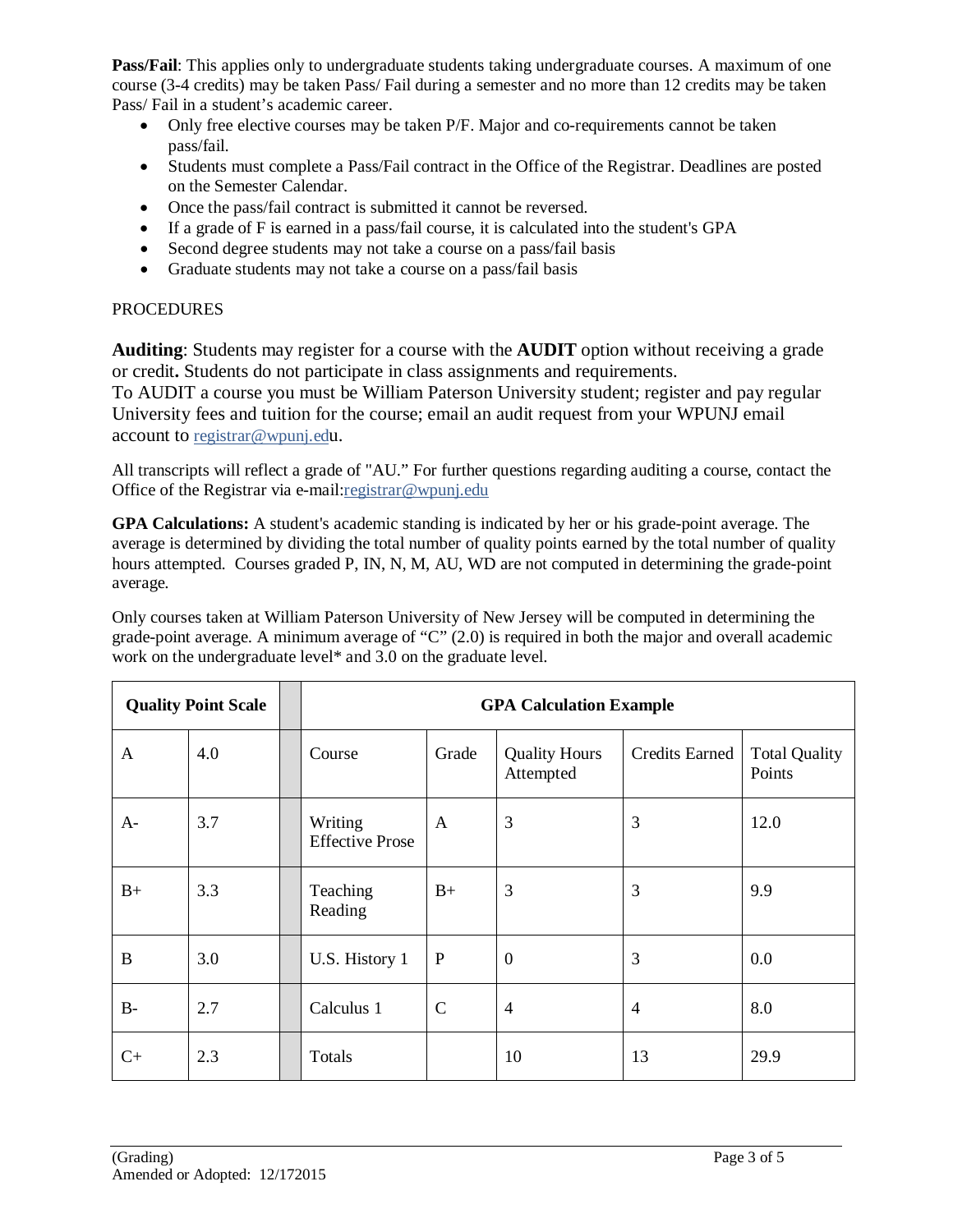**Pass/Fail:** This applies only to undergraduate students taking undergraduate courses. A maximum of one course (3-4 credits) may be taken Pass/ Fail during a semester and no more than 12 credits may be taken Pass/ Fail in a student's academic career.

- Only free elective courses may be taken P/F. Major and co-requirements cannot be taken pass/fail.
- Students must complete a Pass/Fail contract in the Office of the Registrar. Deadlines are posted on the Semester Calendar.
- Once the pass/fail contract is submitted it cannot be reversed.
- If a grade of F is earned in a pass/fail course, it is calculated into the student's GPA
- Second degree students may not take a course on a pass/fail basis
- Graduate students may not take a course on a pass/fail basis

### PROCEDURES

**Auditing**: Students may register for a course with the **AUDIT** option without receiving a grade or credit**.** Students do not participate in class assignments and requirements.

To AUDIT a course you must be William Paterson University student; register and pay regular University fees and tuition for the course; email an audit request from your WPUNJ email account to [registrar@wpunj.edu](mailto:registrar@wpunj.edu).

All transcripts will reflect a grade of "AU." For further questions regarding auditing a course, contact the Office of the Registrar via e-mail[:registrar@wpunj.edu](mailto:registrar@wpunj.edu)

**GPA Calculations:** A student's academic standing is indicated by her or his grade-point average. The average is determined by dividing the total number of quality points earned by the total number of quality hours attempted. Courses graded P, IN, N, M, AU, WD are not computed in determining the grade-point average.

Only courses taken at William Paterson University of New Jersey will be computed in determining the grade-point average. A minimum average of "C" (2.0) is required in both the major and overall academic work on the undergraduate level\* and 3.0 on the graduate level.

| <b>Quality Point Scale</b> |     | <b>GPA Calculation Example</b>    |              |                                   |                |                                |  |
|----------------------------|-----|-----------------------------------|--------------|-----------------------------------|----------------|--------------------------------|--|
| A                          | 4.0 | Course                            | Grade        | <b>Quality Hours</b><br>Attempted | Credits Earned | <b>Total Quality</b><br>Points |  |
| $A-$                       | 3.7 | Writing<br><b>Effective Prose</b> | $\mathsf{A}$ | 3                                 | 3              | 12.0                           |  |
| $B+$                       | 3.3 | Teaching<br>Reading               | $B+$         | 3                                 | 3              | 9.9                            |  |
| B                          | 3.0 | U.S. History 1                    | $\mathbf{P}$ | $\theta$                          | 3              | 0.0                            |  |
| $B-$                       | 2.7 | Calculus 1                        | $\mathsf{C}$ | $\overline{4}$                    | $\overline{4}$ | 8.0                            |  |
| $C+$                       | 2.3 | Totals                            |              | 10                                | 13             | 29.9                           |  |